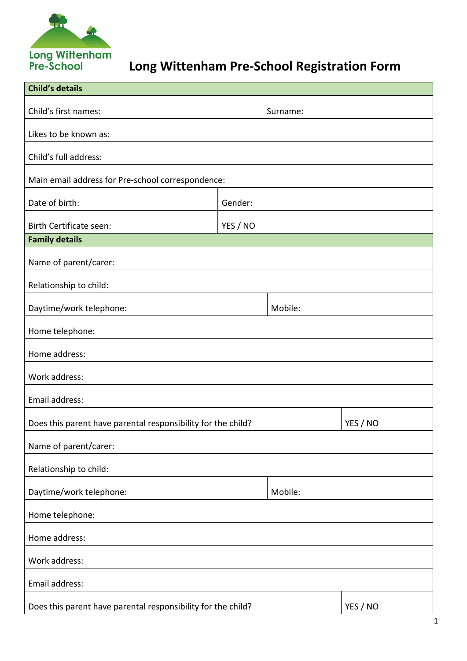

## **Long Wittenham Pre-School Registration Form**

| <b>Child's details</b>                                       |          |          |          |  |
|--------------------------------------------------------------|----------|----------|----------|--|
| Child's first names:                                         |          | Surname: |          |  |
| Likes to be known as:                                        |          |          |          |  |
| Child's full address:                                        |          |          |          |  |
| Main email address for Pre-school correspondence:            |          |          |          |  |
| Date of birth:                                               | Gender:  |          |          |  |
| Birth Certificate seen:                                      | YES / NO |          |          |  |
| <b>Family details</b>                                        |          |          |          |  |
| Name of parent/carer:                                        |          |          |          |  |
| Relationship to child:                                       |          |          |          |  |
| Daytime/work telephone:                                      |          | Mobile:  |          |  |
| Home telephone:                                              |          |          |          |  |
| Home address:                                                |          |          |          |  |
| Work address:                                                |          |          |          |  |
| Email address:                                               |          |          |          |  |
| Does this parent have parental responsibility for the child? |          |          | YES / NO |  |
| Name of parent/carer:                                        |          |          |          |  |
| Relationship to child:                                       |          |          |          |  |
| Daytime/work telephone:                                      |          | Mobile:  |          |  |
| Home telephone:                                              |          |          |          |  |
| Home address:                                                |          |          |          |  |
| Work address:                                                |          |          |          |  |
| Email address:                                               |          |          |          |  |
| Does this parent have parental responsibility for the child? |          |          | YES / NO |  |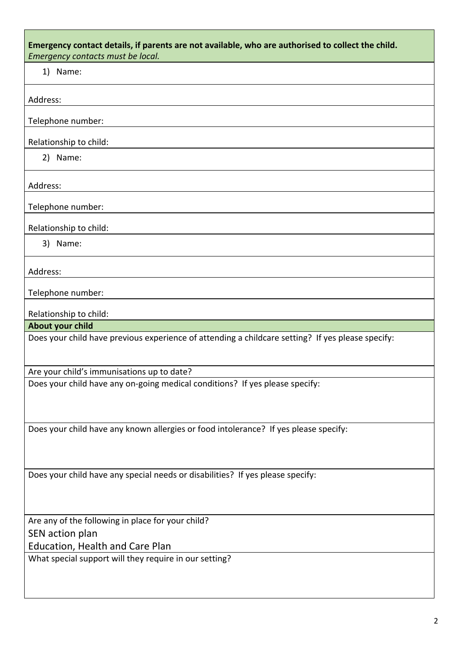| Emergency contact details, if parents are not available, who are authorised to collect the child.<br>Emergency contacts must be local. |
|----------------------------------------------------------------------------------------------------------------------------------------|
| 1) Name:                                                                                                                               |
| Address:                                                                                                                               |
| Telephone number:                                                                                                                      |
| Relationship to child:                                                                                                                 |
| 2) Name:                                                                                                                               |
| Address:                                                                                                                               |
| Telephone number:                                                                                                                      |
| Relationship to child:                                                                                                                 |
| 3) Name:                                                                                                                               |
| Address:                                                                                                                               |
| Telephone number:                                                                                                                      |
| Relationship to child:                                                                                                                 |
| <b>About your child</b>                                                                                                                |
| Does your child have previous experience of attending a childcare setting? If yes please specify:                                      |
| Are your child's immunisations up to date?                                                                                             |
| Does your child have any on-going medical conditions? If yes please specify:                                                           |
| Does your child have any known allergies or food intolerance? If yes please specify:                                                   |
| Does your child have any special needs or disabilities? If yes please specify:                                                         |
| Are any of the following in place for your child?                                                                                      |
| SEN action plan                                                                                                                        |
| Education, Health and Care Plan                                                                                                        |
| What special support will they require in our setting?                                                                                 |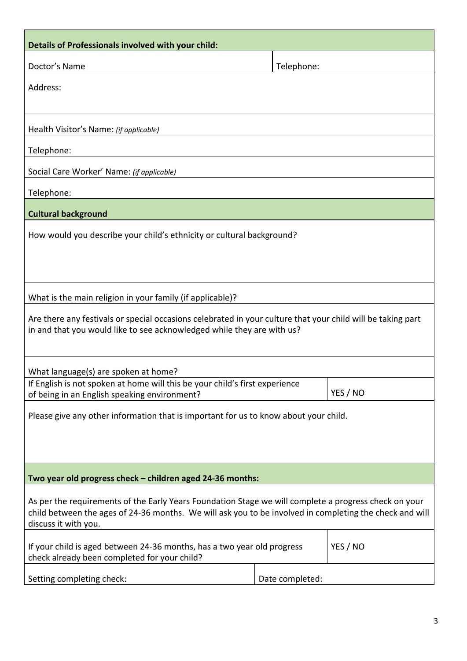| Details of Professionals involved with your child:                                                                              |                 |          |  |  |
|---------------------------------------------------------------------------------------------------------------------------------|-----------------|----------|--|--|
| Doctor's Name                                                                                                                   | Telephone:      |          |  |  |
| Address:                                                                                                                        |                 |          |  |  |
|                                                                                                                                 |                 |          |  |  |
| Health Visitor's Name: (if applicable)                                                                                          |                 |          |  |  |
| Telephone:                                                                                                                      |                 |          |  |  |
| Social Care Worker' Name: (if applicable)                                                                                       |                 |          |  |  |
| Telephone:                                                                                                                      |                 |          |  |  |
| <b>Cultural background</b>                                                                                                      |                 |          |  |  |
| How would you describe your child's ethnicity or cultural background?                                                           |                 |          |  |  |
|                                                                                                                                 |                 |          |  |  |
|                                                                                                                                 |                 |          |  |  |
| What is the main religion in your family (if applicable)?                                                                       |                 |          |  |  |
| Are there any festivals or special occasions celebrated in your culture that your child will be taking part                     |                 |          |  |  |
| in and that you would like to see acknowledged while they are with us?                                                          |                 |          |  |  |
|                                                                                                                                 |                 |          |  |  |
| What language(s) are spoken at home?                                                                                            |                 |          |  |  |
| If English is not spoken at home will this be your child's first experience<br>of being in an English speaking environment?     |                 | YES / NO |  |  |
| Please give any other information that is important for us to know about your child.                                            |                 |          |  |  |
|                                                                                                                                 |                 |          |  |  |
|                                                                                                                                 |                 |          |  |  |
| Two year old progress check - children aged 24-36 months:                                                                       |                 |          |  |  |
| As per the requirements of the Early Years Foundation Stage we will complete a progress check on your                           |                 |          |  |  |
| child between the ages of 24-36 months. We will ask you to be involved in completing the check and will<br>discuss it with you. |                 |          |  |  |
| If your child is aged between 24-36 months, has a two year old progress                                                         |                 | YES / NO |  |  |
| check already been completed for your child?                                                                                    |                 |          |  |  |
| Setting completing check:                                                                                                       | Date completed: |          |  |  |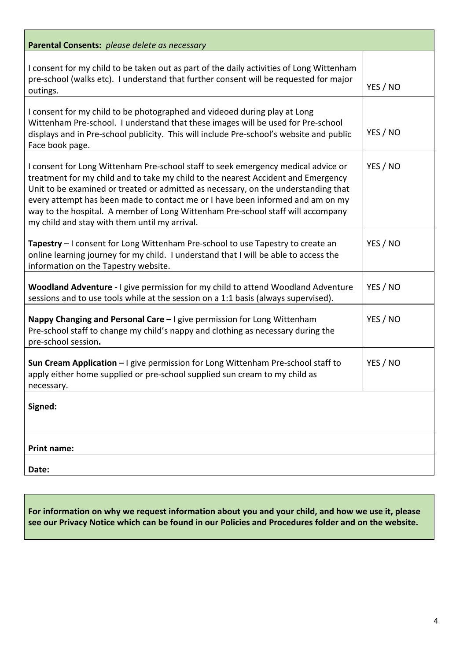| Parental Consents: please delete as necessary                                                                                                                                                                                                                                                                                                                                                                                                                                      |          |
|------------------------------------------------------------------------------------------------------------------------------------------------------------------------------------------------------------------------------------------------------------------------------------------------------------------------------------------------------------------------------------------------------------------------------------------------------------------------------------|----------|
| I consent for my child to be taken out as part of the daily activities of Long Wittenham<br>pre-school (walks etc). I understand that further consent will be requested for major<br>outings.                                                                                                                                                                                                                                                                                      | YES / NO |
| I consent for my child to be photographed and videoed during play at Long<br>Wittenham Pre-school. I understand that these images will be used for Pre-school<br>displays and in Pre-school publicity. This will include Pre-school's website and public<br>Face book page.                                                                                                                                                                                                        | YES / NO |
| I consent for Long Wittenham Pre-school staff to seek emergency medical advice or<br>treatment for my child and to take my child to the nearest Accident and Emergency<br>Unit to be examined or treated or admitted as necessary, on the understanding that<br>every attempt has been made to contact me or I have been informed and am on my<br>way to the hospital. A member of Long Wittenham Pre-school staff will accompany<br>my child and stay with them until my arrival. | YES / NO |
| Tapestry - I consent for Long Wittenham Pre-school to use Tapestry to create an<br>online learning journey for my child. I understand that I will be able to access the<br>information on the Tapestry website.                                                                                                                                                                                                                                                                    | YES / NO |
| Woodland Adventure - I give permission for my child to attend Woodland Adventure<br>sessions and to use tools while at the session on a 1:1 basis (always supervised).                                                                                                                                                                                                                                                                                                             | YES / NO |
| Nappy Changing and Personal Care - I give permission for Long Wittenham<br>Pre-school staff to change my child's nappy and clothing as necessary during the<br>pre-school session.                                                                                                                                                                                                                                                                                                 | YES / NO |
| Sun Cream Application - I give permission for Long Wittenham Pre-school staff to<br>apply either home supplied or pre-school supplied sun cream to my child as<br>necessary.                                                                                                                                                                                                                                                                                                       | YES / NO |
| Signed:                                                                                                                                                                                                                                                                                                                                                                                                                                                                            |          |
| <b>Print name:</b>                                                                                                                                                                                                                                                                                                                                                                                                                                                                 |          |
| Date:                                                                                                                                                                                                                                                                                                                                                                                                                                                                              |          |

**For information on why we request information about you and your child, and how we use it, please see our Privacy Notice which can be found in our Policies and Procedures folder and on the website.**